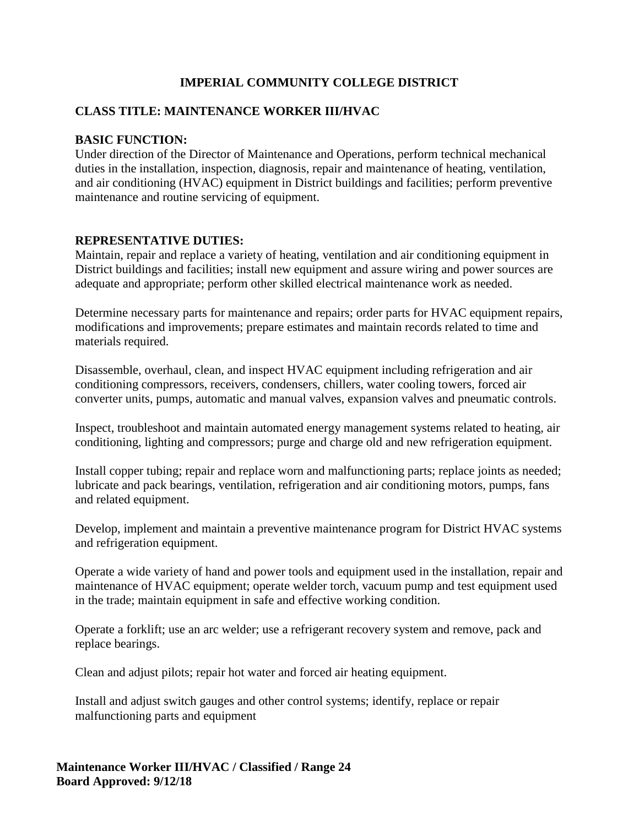# **IMPERIAL COMMUNITY COLLEGE DISTRICT**

# **CLASS TITLE: MAINTENANCE WORKER III/HVAC**

## **BASIC FUNCTION:**

Under direction of the Director of Maintenance and Operations, perform technical mechanical duties in the installation, inspection, diagnosis, repair and maintenance of heating, ventilation, and air conditioning (HVAC) equipment in District buildings and facilities; perform preventive maintenance and routine servicing of equipment.

## **REPRESENTATIVE DUTIES:**

Maintain, repair and replace a variety of heating, ventilation and air conditioning equipment in District buildings and facilities; install new equipment and assure wiring and power sources are adequate and appropriate; perform other skilled electrical maintenance work as needed.

Determine necessary parts for maintenance and repairs; order parts for HVAC equipment repairs, modifications and improvements; prepare estimates and maintain records related to time and materials required.

Disassemble, overhaul, clean, and inspect HVAC equipment including refrigeration and air conditioning compressors, receivers, condensers, chillers, water cooling towers, forced air converter units, pumps, automatic and manual valves, expansion valves and pneumatic controls.

Inspect, troubleshoot and maintain automated energy management systems related to heating, air conditioning, lighting and compressors; purge and charge old and new refrigeration equipment.

Install copper tubing; repair and replace worn and malfunctioning parts; replace joints as needed; lubricate and pack bearings, ventilation, refrigeration and air conditioning motors, pumps, fans and related equipment.

Develop, implement and maintain a preventive maintenance program for District HVAC systems and refrigeration equipment.

Operate a wide variety of hand and power tools and equipment used in the installation, repair and maintenance of HVAC equipment; operate welder torch, vacuum pump and test equipment used in the trade; maintain equipment in safe and effective working condition.

Operate a forklift; use an arc welder; use a refrigerant recovery system and remove, pack and replace bearings.

Clean and adjust pilots; repair hot water and forced air heating equipment.

Install and adjust switch gauges and other control systems; identify, replace or repair malfunctioning parts and equipment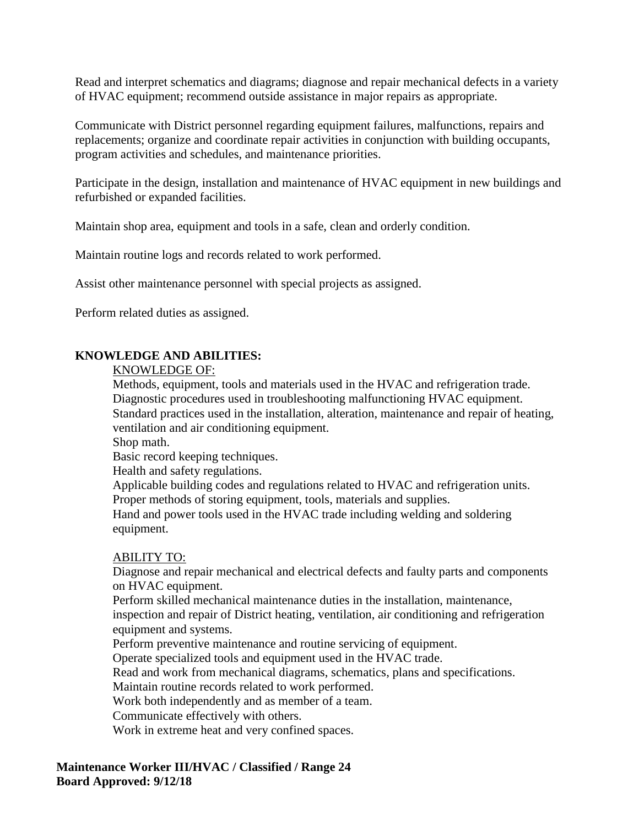Read and interpret schematics and diagrams; diagnose and repair mechanical defects in a variety of HVAC equipment; recommend outside assistance in major repairs as appropriate.

Communicate with District personnel regarding equipment failures, malfunctions, repairs and replacements; organize and coordinate repair activities in conjunction with building occupants, program activities and schedules, and maintenance priorities.

Participate in the design, installation and maintenance of HVAC equipment in new buildings and refurbished or expanded facilities.

Maintain shop area, equipment and tools in a safe, clean and orderly condition.

Maintain routine logs and records related to work performed.

Assist other maintenance personnel with special projects as assigned.

Perform related duties as assigned.

# **KNOWLEDGE AND ABILITIES:**

#### KNOWLEDGE OF:

Methods, equipment, tools and materials used in the HVAC and refrigeration trade. Diagnostic procedures used in troubleshooting malfunctioning HVAC equipment. Standard practices used in the installation, alteration, maintenance and repair of heating, ventilation and air conditioning equipment.

Shop math.

Basic record keeping techniques.

Health and safety regulations.

Applicable building codes and regulations related to HVAC and refrigeration units. Proper methods of storing equipment, tools, materials and supplies.

Hand and power tools used in the HVAC trade including welding and soldering equipment.

#### ABILITY TO:

Diagnose and repair mechanical and electrical defects and faulty parts and components on HVAC equipment.

Perform skilled mechanical maintenance duties in the installation, maintenance, inspection and repair of District heating, ventilation, air conditioning and refrigeration equipment and systems.

Perform preventive maintenance and routine servicing of equipment.

Operate specialized tools and equipment used in the HVAC trade.

Read and work from mechanical diagrams, schematics, plans and specifications.

Maintain routine records related to work performed.

Work both independently and as member of a team.

Communicate effectively with others.

Work in extreme heat and very confined spaces.

**Maintenance Worker III/HVAC / Classified / Range 24 Board Approved: 9/12/18**